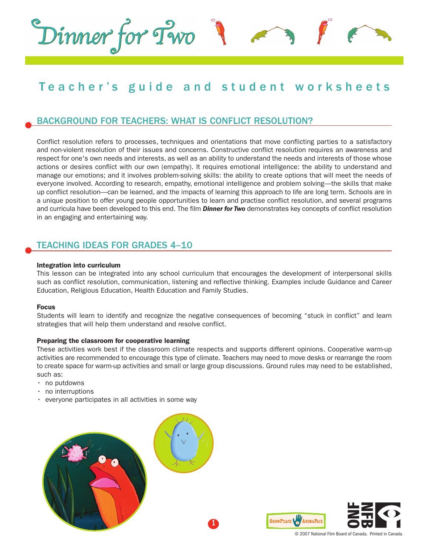# Teacher's guide and student worksheets

# BACKGROUND FOR TEACHERS: WHAT IS CONFLICT RESOLUTION?

Conflict resolution refers to processes, techniques and orientations that move conflicting parties to a satisfactory and non-violent resolution of their issues and concerns. Constructive conflict resolution requires an awareness and respect for one's own needs and interests, as well as an ability to understand the needs and interests of those whose actions or desires conflict with our own (empathy). It requires emotional intelligence: the ability to understand and manage our emotions; and it involves problem-solving skills: the ability to create options that will meet the needs of everyone involved. According to research, empathy, emotional intelligence and problem solving—the skills that make up conflict resolution—can be learned, and the impacts of learning this approach to life are long term. Schools are in a unique position to offer young people opportunities to learn and practise conflict resolution, and several programs and curricula have been developed to this end. The film *Dinner for Two* demonstrates key concepts of conflict resolution in an engaging and entertaining way.

## TEACHING IDEAS FOR GRADES 4–10

Dinner for Two

#### **Integration into curriculum**

This lesson can be integrated into any school curriculum that encourages the development of interpersonal skills such as conflict resolution, communication, listening and reflective thinking. Examples include Guidance and Career Education, Religious Education, Health Education and Family Studies.

#### **Focus**

Students will learn to identify and recognize the negative consequences of becoming "stuck in conflict" and learn strategies that will help them understand and resolve conflict.

#### **Preparing the classroom for cooperative learning**

These activities work best if the classroom climate respects and supports different opinions. Cooperative warm-up activities are recommended to encourage this type of climate. Teachers may need to move desks or rearrange the room to create space for warm-up activities and small or large group discussions. Ground rules may need to be established, such as:

- no putdowns
- no interruptions
- everyone participates in all activities in some way

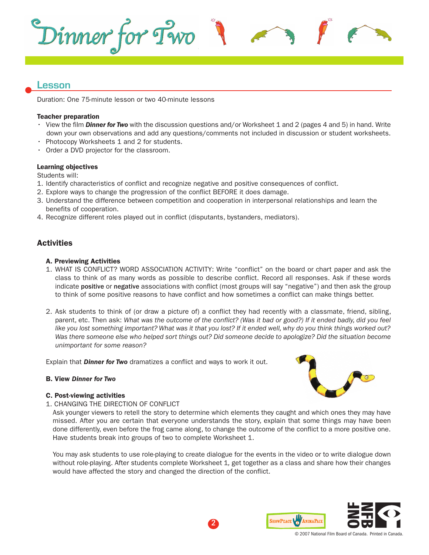

## **Lesson**

Duration: One 75-minute lesson or two 40-minute lessons

#### **Teacher preparation**

- View the film *Dinner for Two* with the discussion questions and/or Worksheet 1 and 2 (pages 4 and 5) in hand. Write down your own observations and add any questions/comments not included in discussion or student worksheets.
- Photocopy Worksheets 1 and 2 for students.
- Order a DVD projector for the classroom.

#### **Learning objectives**

Students will:

- 1. Identify characteristics of conflict and recognize negative and positive consequences of conflict.
- 2. Explore ways to change the progression of the conflict BEFORE it does damage.
- 3. Understand the difference between competition and cooperation in interpersonal relationships and learn the benefits of cooperation.
- 4. Recognize different roles played out in conflict (disputants, bystanders, mediators).

## **Activities**

#### **A. Previewing Activities**

- 1. WHAT IS CONFLICT? WORD ASSOCIATION ACTIVITY: Write "conflict" on the board or chart paper and ask the class to think of as many words as possible to describe conflict. Record all responses. Ask if these words indicate positive or negative associations with conflict (most groups will say "negative") and then ask the group to think of some positive reasons to have conflict and how sometimes a conflict can make things better.
- 2. Ask students to think of (or draw a picture of) a conflict they had recently with a classmate, friend, sibling, parent, etc. Then ask: What was the outcome of the conflict? (Was it bad or good?) If it ended badly, did you feel like you lost something important? What was it that you lost? If it ended well, why do you think things worked out? Was there someone else who helped sort things out? Did someone decide to apologize? Did the situation become *unimportant for some reason?*

Explain that *Dinner for Two* dramatizes a conflict and ways to work it out.

#### **B. View** *Dinner for Two*

#### **C. Post-viewing activities**

1. CHANGING THE DIRECTION OF CONFLICT

Ask younger viewers to retell the story to determine which elements they caught and which ones they may have missed. After you are certain that everyone understands the story, explain that some things may have been done differently, even before the frog came along, to change the outcome of the conflict to a more positive one. Have students break into groups of two to complete Worksheet 1.

You may ask students to use role-playing to create dialogue for the events in the video or to write dialogue down without role-playing. After students complete Worksheet 1*,* get together as a class and share how their changes would have affected the story and changed the direction of the conflict.



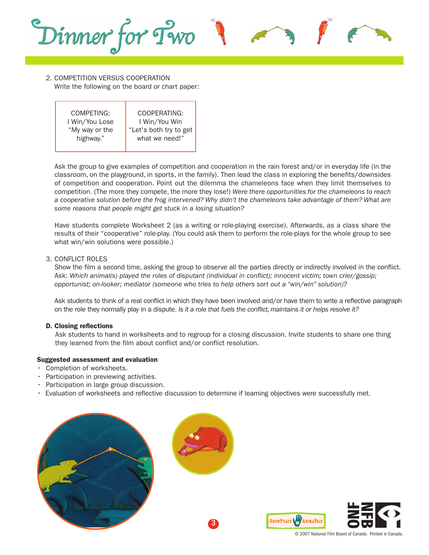

#### 2. COMPETITION VERSUS COOPERATION Write the following on the board or chart paper:

COMPETING: I Win/You Lose "My way or the highway." COOPERATING: I Win/You Win "Let's both try to get what we need!"

Ask the group to give examples of competition and cooperation in the rain forest and/or in everyday life (in the classroom, on the playground, in sports, in the family). Then lead the class in exploring the benefits/downsides of competition and cooperation. Point out the dilemma the chameleons face when they limit themselves to competition. (The more they compete, the more they lose!) *Were there opportunities for the chameleons to reach* a cooperative solution before the frog intervened? Why didn't the chameleons take advantage of them? What are *some reasons that people might get stuck in a losing situation?*

Have students complete Worksheet 2 (as a writing or role-playing exercise). Afterwards, as a class share the results of their "cooperative" role-play. (You could ask them to perform the role-plays for the whole group to see what win/win solutions were possible.)

#### 3. CONFLICT ROLES

Show the film a second time, asking the group to observe all the parties directly or indirectly involved in the conflict. Ask: *Which animal(s) played the roles of disputant (individual in conflict); innocent victim; town crier/gossip; opportunist; on-looker; mediator (someone who tries to help others sort out a "win/win" solution)?*

Ask students to think of a real conflict in which they have been involved and/or have them to write a reflective paragraph on the role they normally play in a dispute. *Is it a role that fuels the conflict, maintains it or helps resolve it?*

### **D. Closing reflections**

Ask students to hand in worksheets and to regroup for a closing discussion. Invite students to share one thing they learned from the film about conflict and/or conflict resolution.

#### **Suggested assessment and evaluation**

- Completion of worksheets.
- Participation in previewing activities.
- Participation in large group discussion.
- Evaluation of worksheets and reflective discussion to determine if learning objectives were successfully met.





3



© 2007 National Film Board of Canada. Printed in Canada.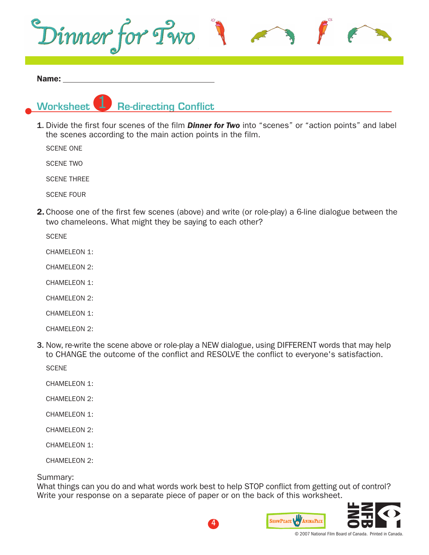

#### **Name:**

1

**Worksheet Re-directing Conflict**

1. Divide the first four scenes of the film *Dinner for Two* into "scenes" or "action points" and label the scenes according to the main action points in the film.

SCENE ONE

SCENE TWO

SCENE THREE

SCENE FOUR

**2.** Choose one of the first few scenes (above) and write (or role-play) a 6-line dialogue between the two chameleons. What might they be saying to each other?

**SCENE** 

CHAMELEON 1:

CHAMELEON 2:

CHAMELEON 1:

CHAMELEON 2:

CHAMELEON 1:

CHAMELEON 2:

3. Now, re-write the scene above or role-play a NEW dialogue, using DIFFERENT words that may help to CHANGE the outcome of the conflict and RESOLVE the conflict to everyone's satisfaction.

**SCENE** 

- CHAMELEON 1:
- CHAMELEON 2:
- CHAMELEON 1:
- CHAMEL FON 2.

CHAMELEON 1:

CHAMELEON 2:

Summary:

What things can you do and what words work best to help STOP conflict from getting out of control? Write your response on a separate piece of paper or on the back of this worksheet.

4